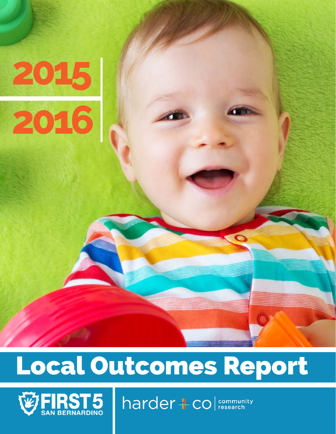

# Local Outcomes Report



harder + co research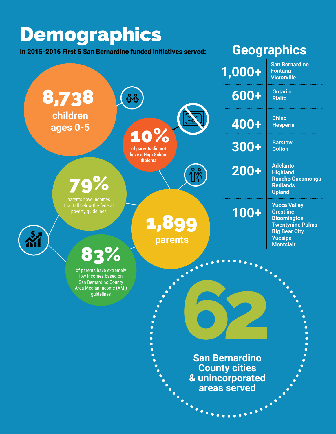# Demographics

In 2015-2016 First 5 San Bernardino funded initiatives served:

# **Geographics**

| 1,000+                                                                                        | <b>San Bernardino</b><br><b>Fontana</b><br><b>Victorville</b>                                                                                          |
|-----------------------------------------------------------------------------------------------|--------------------------------------------------------------------------------------------------------------------------------------------------------|
| 600+                                                                                          | <b>Ontario</b><br><b>Rialto</b>                                                                                                                        |
| 400+                                                                                          | <b>Chino</b><br><b>Hesperia</b>                                                                                                                        |
| 300+                                                                                          | <b>Barstow</b><br><b>Colton</b>                                                                                                                        |
| $200+$                                                                                        | <b>Adelanto</b><br><b>Highland</b><br><b>Rancho Cucamonga</b><br><b>Redlands</b><br><b>Upland</b>                                                      |
| $100 +$                                                                                       | <b>Yucca Valley</b><br><b>Crestline</b><br><b>Bloomington</b><br><b>Twentynine Palms</b><br><b>Big Bear City</b><br><b>Yucaipa</b><br><b>Montclair</b> |
| <b>San Bernardino</b><br><b>County cities</b><br>& unincorporated<br>areas served<br>$\infty$ |                                                                                                                                                        |
|                                                                                               |                                                                                                                                                        |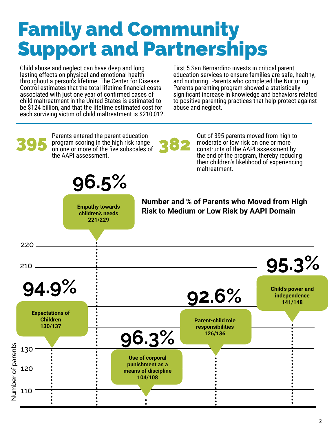# Family and Community Support and Partnerships

Child abuse and neglect can have deep and long lasting effects on physical and emotional health throughout a person's lifetime. The Center for Disease Control estimates that the total lifetime financial costs associated with just one year of confirmed cases of child maltreatment in the United States is estimated to be \$124 billion, and that the lifetime estimated cost for each surviving victim of child maltreatment is \$210,012. First 5 San Bernardino invests in critical parent education services to ensure families are safe, healthy, and nurturing. Parents who completed the Nurturing Parents parenting program showed a statistically significant increase in knowledge and behaviors related to positive parenting practices that help protect against abuse and neglect.



Parents entered the parent education<br> **395** on one or more of the five subscales of program scoring in the high risk range the AAPI assessment. 382

Out of 395 parents moved from high to moderate or low risk on one or more constructs of the AAPI assessment by the end of the program, thereby reducing their children's likelihood of experiencing maltreatment.

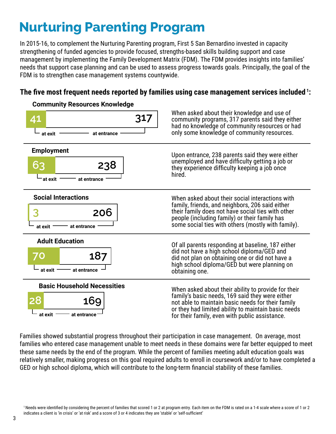# **Nurturing Parenting Program**

In 2015-16, to complement the Nurturing Parenting program, First 5 San Bernardino invested in capacity strengthening of funded agencies to provide focused, strengths-based skills building support and case management by implementing the Family Development Matrix (FDM). The FDM provides insights into families' needs that support case planning and can be used to assess progress towards goals. Principally, the goal of the FDM is to strengthen case management systems countywide.

#### **The five most frequent needs reported by families using case management services included 1:**

#### **Community Resources Knowledge**



Families showed substantial progress throughout their participation in case management. On average, most families who entered case management unable to meet needs in these domains were far better equipped to meet these same needs by the end of the program. While the percent of families meeting adult education goals was relatively smaller, making progress on this goal required adults to enroll in coursework and/or to have completed a GED or high school diploma, which will contribute to the long-term financial stability of these families.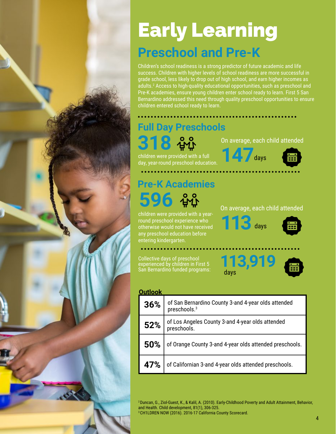

Children's school readiness is a strong predictor of future academic and life success. Children with higher levels of school readiness are more successful in grade school, less likely to drop out of high school, and earn higher incomes as adults.2 Access to high-quality educational opportunities, such as preschool and Pre-K academies, ensure young children enter school ready to learn. First 5 San Bernardino addressed this need through quality preschool opportunities to ensure children entered school ready to learn.

# **Full Day Preschools**



children were provided with a full day, year-round preschool education.

# **Pre-K Academies**



children were provided with a yearround preschool experience who otherwise would not have received any preschool education before entering kindergarten.

Collective days of preschool experienced by children in First 5 San Bernardino funded programs:

. . . . . . . . . . . . .

On average, each child attended

**113** days





#### **Outlook**

| 36% | of San Bernardino County 3-and 4-year olds attended<br>preschools. <sup>3</sup> |
|-----|---------------------------------------------------------------------------------|
| 52% | of Los Angeles County 3-and 4-year olds attended<br>preschools.                 |
| 50% | of Orange County 3-and 4-year olds attended preschools.                         |
| 47% | of Californian 3-and 4-year olds attended preschools.                           |

<sup>2</sup>Duncan, G., Ziol‐Guest, K., & Kalil, A. (2010). Early‐Childhood Poverty and Adult Attainment, Behavior, and Health. Child development, 81(1), 306-325. <sup>3</sup> CH1LDREN NOW (2016). 2016-17 California County Scorecard.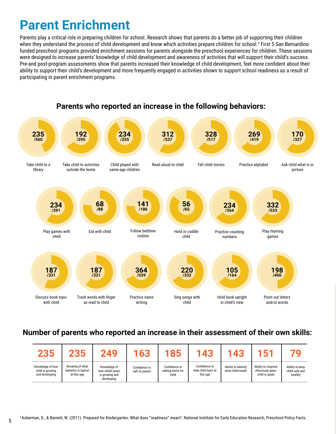# **Parent Enrichment**

5

Parents play a critical role in preparing children for school. Research shows that parents do a better job of supporting their children when they understand the process of child development and know which activities prepare children for school.<sup>4</sup> First 5 San Bernardinofunded preschool programs provided enrichment sessions for parents alongside the preschool experiences for children. These sessions were designed to increase parents' knowledge of child development and awareness of activities that will support their child's success. Pre-and post-program assessments show that parents increased their knowledge of child development, feel more confident about their ability to support their child's development and more frequently engaged in activities shown to support school readiness as a result of participating in parent enrichment programs.



#### **Parents who reported an increase in the following behaviors:**

#### **Number of parents who reported an increase in their assessment of their own skills:**

| 235                                                    |                                                       | 249                                                               | 163                             | 185                                          | 143                                              |                                         |                                                          |                                              |
|--------------------------------------------------------|-------------------------------------------------------|-------------------------------------------------------------------|---------------------------------|----------------------------------------------|--------------------------------------------------|-----------------------------------------|----------------------------------------------------------|----------------------------------------------|
| Knowledge of how<br>child is growing<br>and developing | Knowing of what<br>behavior is typical<br>at this age | Knowledge of<br>how child's brain<br>is growing and<br>developing | Confidence in<br>self as parent | Confidence in<br>setting limits for<br>child | Confidence to<br>help child learn at<br>this age | Ability to identify<br>what child needs | Ability to respond<br>effectively when<br>child is upset | Ability to keep<br>child safe and<br>healthy |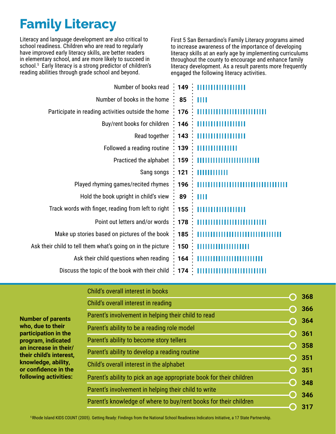# **Family Literacy**

Literacy and language development are also critical to school readiness. Children who are read to regularly have improved early literacy skills, are better readers in elementary school, and are more likely to succeed in school.5 Early literacy is a strong predictor of children's reading abilities through grade school and beyond.

First 5 San Bernardino's Family Literacy programs aimed to increase awareness of the importance of developing literacy skills at an early age by implementing curriculums throughout the county to encourage and enhance family literacy development. As a result parents more frequently engaged the following literacy activities.

| Number of books read                                        | 149:  | 11111111       |
|-------------------------------------------------------------|-------|----------------|
| Number of books in the home                                 | 85    | Ш              |
| Participate in reading activities outside the home          | 176   |                |
| Buy/rent books for children                                 | 146:  |                |
| Read together                                               | 143:  |                |
| Followed a reading routine                                  | 139:  | ,,,,,,,,,,,,,, |
| Practiced the alphabet                                      | 159:  |                |
| Sang songs                                                  | 121:  |                |
| Played rhyming games/recited rhymes                         | 196 : |                |
| Hold the book upright in child's view                       | 89    | Ш              |
| Track words with finger, reading from left to right         | 155:  |                |
| Point out letters and/or words                              | 178   |                |
| Make up stories based on pictures of the book:              | 185:  |                |
| Ask their child to tell them what's going on in the picture | 150   |                |
| Ask their child questions when reading                      | 164   |                |
| Discuss the topic of the book with their child : 174 :      |       |                |

|                                                  | Child's overall interest in books                                   | 368        |
|--------------------------------------------------|---------------------------------------------------------------------|------------|
|                                                  | Child's overall interest in reading                                 |            |
| <b>Number of parents</b>                         | Parent's involvement in helping their child to read                 | 366<br>364 |
| who, due to their                                | Parent's ability to be a reading role model                         |            |
| participation in the<br>program, indicated       | Parent's ability to become story tellers                            | 361        |
| an increase in their/<br>their child's interest, | Parent's ability to develop a reading routine                       | 358<br>351 |
| knowledge, ability,<br>or confidence in the      | Child's overall interest in the alphabet                            | 351        |
| following activities:                            | Parent's ability to pick an age appropriate book for their children |            |
|                                                  | Parent's involvement in helping their child to write                | 348        |
|                                                  | Parent's knowledge of where to buy/rent books for their children    | 346        |
|                                                  |                                                                     | 317        |

5 Rhode Island KIDS COUNT (2005). Getting Ready: Findings from the National School Readiness Indicators Initiative, a 17 State Partnership.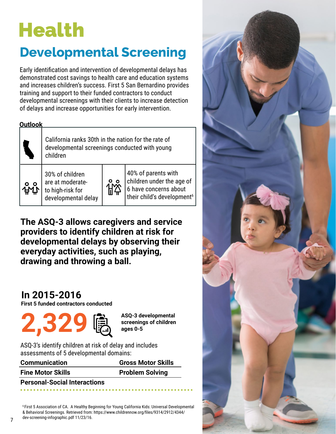# Health

# **Developmental Screening**

Early identification and intervention of developmental delays has demonstrated cost savings to health care and education systems and increases children's success. First 5 San Bernardino provides training and support to their funded contractors to conduct developmental screenings with their clients to increase detection of delays and increase opportunities for early intervention.

#### **Outlook**



California ranks 30th in the nation for the rate of developmental screenings conducted with young children



30% of children are at moderateto high-risk for developmental delay



40% of parents with children under the age of 6 have concerns about their child's development<sup>6</sup>

**The ASQ-3 allows caregivers and service providers to identify children at risk for developmental delays by observing their everyday activities, such as playing, drawing and throwing a ball.**

### **In 2015-2016**

**First 5 funded contractors conducted**



**ASQ-3 developmental screenings of children ages 0-5**

ASQ-3's identify children at risk of delay and includes assessments of 5 developmental domains:

**Communication Gross Motor Skills Fine Motor Skills Problem Solving** 

**Personal-Social Interactions**

6 First 5 Association of CA. A Healthy Beginning for Young California Kids: Universal Developmental & Behavioral Screenings. Retrieved from: https://www.childrennow.org/files/9314/2912/4344/ dev-screening-infographic.pdf 11/23/16. 7

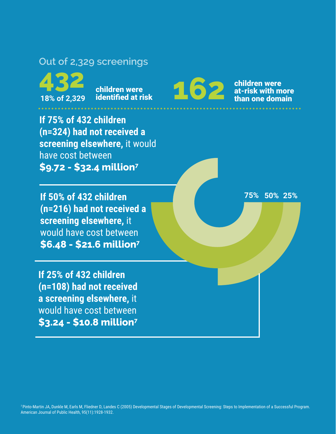### **Out of 2,329 screenings**

**18% of 2,329**

children were identified at risk **<sup>432</sup> 162**

children were at-risk with more than one domain

**If 75% of 432 children (n=324) had not received a screening elsewhere,** it would have cost between **\$9.72 - \$32.4 million7**

**If 50% of 432 children 50% 25% (n=216) had not received a screening elsewhere,** it would have cost between **\$6.48 - \$21.6 million7**

**75%**

**If 25% of 432 children (n=108) had not received a screening elsewhere,** it would have cost between **\$3.24 - \$10.8 million7**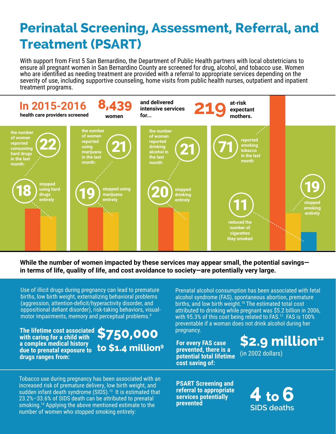# **Perinatal Screening, Assessment, Referral, and Treatment (PSART)**

With support from First 5 San Bernardino, the Department of Public Health partners with local obstetricians to ensure all pregnant women in San Bernardino County are screened for drug, alcohol, and tobacco use. Women who are identified as needing treatment are provided with a referral to appropriate services depending on the severity of use, including supportive counseling, home visits from public health nurses, outpatient and inpatient treatment programs.



**While the number of women impacted by these services may appear small, the potential savings in terms of life, quality of life, and cost avoidance to society—are potentially very large.**

Use of illicit drugs during pregnancy can lead to premature births, low birth weight, externalizing behavioral problems (aggression, attention-deficit/hyperactivity disorder, and oppositional defiant disorder), risk-taking behaviors, visualmotor impairments, memory and perceptual problems.<sup>8</sup>

**\$750,000 The lifetime cost associated with caring for a child with a complex medical history due to prenatal exposure to drugs ranges from:**

# **to \$1.4 million9**

Prenatal alcohol consumption has been associated with fetal alcohol syndrome (FAS), spontaneous abortion, premature births, and low birth weight.<sup>10</sup> The estimated total cost attributed to drinking while pregnant was \$5.2 billion in 2006, with 95.3% of this cost being related to FAS.<sup>11</sup> FAS is 100% preventable if a woman does not drink alcohol during her pregnancy.

**For every FAS case prevented, there is a potential total lifetime cost saving of:**

## **\$2.9 million**<sup>12</sup>

(in 2002 dollars)

Tobacco use during pregnancy has been associated with an increased risk of premature delivery, low birth weight, and sudden infant death syndrome (SIDS).<sup>13</sup> It is estimated that 23.2%–33.6% of SIDS death can be attributed to prenatal smoking.<sup>14</sup> Applying the above mentioned estimate to the number of women who stopped smoking entirely:

**PSART Screening and referral to appropriate services potentially prevented**

**4 to 6 SIDS deaths**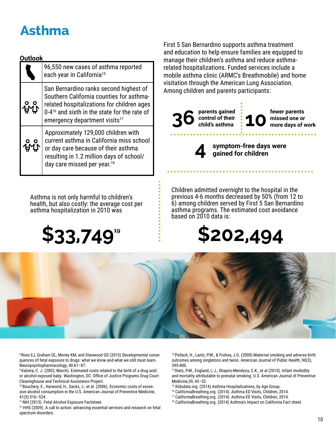## **Asthma**

#### **Outlook**

| 96,550 new cases of asthma reported<br>each year in California <sup>15</sup>                                                                                                                                                              |
|-------------------------------------------------------------------------------------------------------------------------------------------------------------------------------------------------------------------------------------------|
| San Bernardino ranks second highest of<br>Southern California counties for asthma-<br>related hospitalizations for children ages<br>0-4 <sup>16</sup> and sixth in the state for the rate of<br>emergency department visits <sup>17</sup> |
| Approximately 129,000 children with<br>current asthma in California miss school<br>or day care because of their asthma<br>resulting in 1.2 million days of school/<br>day care missed per year. <sup>18</sup>                             |

First 5 San Bernardino supports asthma treatment and education to help ensure families are equipped to manage their children's asthma and reduce asthmarelated hospitalizations. Funded services include a mobile asthma clinic (ARMC's Breathmobile) and home visitation through the American Lung Association. Among children and parents participants:



Asthma is not only harmful to children's health, but also costly: the average cost per asthma hospitalization in 2010 was



Children admitted overnight to the hospital in the previous 4-6 months decreased by 50% (from 12 to 6) among children served by First 5 San Bernardino asthma programs. The estimated cost avoidance based on 2010 data is:

# **\$202,494**



8 Ross EJ, Graham DL, Money KM, and Stanwood GD (2015) Developmental consequences of fetal exposure to drugs: what we know and what we still must learn. Neuropsychopharmacology, 40:61–87.

<sup>9</sup>Kalotra, C. J. (2002, March). Estimated costs related to the birth of a drug and/ or alcohol exposed baby. Washington, DC: Office of Justice Programs Drug Court Clearinghouse and Technical Assistance Project.

<sup>10</sup> Bouchery, E., Harwood, H., Sacks, J., et al. (2006). Economic costs of excessive alcohol consumption in the U.S. American Journal of Preventive Medicine, 41(5):516–524.

<sup>11</sup>NIH (2013). Fetal Alcohol Exposure Factsheet.

<sup>12</sup> HHS (2009). A call to action: advancing essential services and research on fetal spectrum disorders.

<sup>13</sup>Pollack, H., Lantz, P.M., & Frohna, J.G. (2000) Maternal smoking and adverse birth outcomes among singletons and twins. American Journal of Public Health, 90(3), 395-400.

<sup>14</sup> Dietz, P.M., England, L.J., Shapiro-Mendoza, C.K., et al (2010). Infant morbidity and mortality attributable to prenatal smoking. U.S. American Journal of Preventive Medicine,39, 45–52.

- 15 Kidsdata.org. (2014) Asthma Hospitalizations, by Age Group.
- <sup>16</sup> CaliforniaBreathing.org. (2014). Asthma ED Visits, Children, 2014.
- <sup>17</sup> CaliforniaBreathing.org. (2014). Asthma ED Visits, Children, 2014.
- 19 CaliforniaBreathing.org. (2014) Asthma's Impact on California Fact sheet.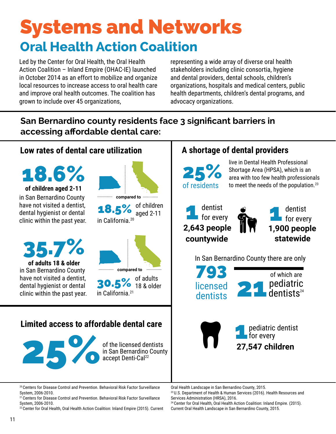# Systems and Networks **Oral Health Action Coalition**

Led by the Center for Oral Health, the Oral Health Action Coalition – Inland Empire (OHAC-IE) launched in October 2014 as an effort to mobilize and organize local resources to increase access to oral health care and improve oral health outcomes. The coalition has grown to include over 45 organizations,

representing a wide array of diverse oral health stakeholders including clinic consortia, hygiene and dental providers, dental schools, children's organizations, hospitals and medical centers, public health departments, children's dental programs, and advocacy organizations.

#### **San Bernardino county residents face 3 significant barriers in accessing affordable dental care:**

### **Low rates of dental care utilization**

18.6% in San Bernardino County have not visited a dentist, dental hygienist or dental clinic within the past year. **of children aged 2-11**

35.7%

in San Bernardino County have not visited a dentist, dental hygienist or dental clinic within the past year. **of adults 18 & older**



18.5% in California.20 of children aged 2-11

**compared to minimum** 



30.5% in California.21 of adults 18 & older

### **Limited access to affordable dental care**



in San Bernardino County accept Denti-Cal<sup>22</sup>

#### <sup>20</sup> Centers for Disease Control and Prevention. Behavioral Risk Factor Surveillance System, 2006-2010.

<sup>21</sup> Centers for Disease Control and Prevention. Behavioral Risk Factor Surveillance System, 2006-2010.

<sup>22</sup>Center for Oral Health, Oral Health Action Coalition: Inland Empire (2015). Current

#### **A shortage of dental providers**

25% of residents

live in Dental Health Professional Shortage Area (HPSA), which is an area with too few health professionals to meet the needs of the population.<sup>23</sup>



In San Bernardino County there are only





Oral Health Landscape in San Bernardino County, 2015.

<sup>23</sup>U.S. Department of Health & Human Services (2016). Health Resources and Services Administration (HRSA), 2016.

<sup>24</sup> Center for Oral Health, Oral Health Action Coalition: Inland Empire. (2015). Current Oral Health Landscape in San Bernardino County, 2015.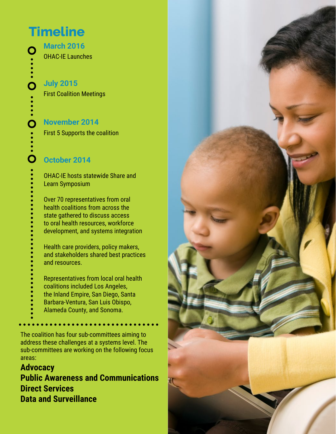# **Timeline**

 $\vdots$ <br> $\vdots$ 

 $\vdots$ 

 $\vdots$ 

**March 2016** OHAC-IE Launches

**July 2015** First Coalition Meetings

#### **November 2014**

First 5 Supports the coalition

#### **October 2014**

OHAC-IE hosts statewide Share and Learn Symposium

Over 70 representatives from oral health coalitions from across the state gathered to discuss access to oral health resources, workforce development, and systems integration

Health care providers, policy makers, and stakeholders shared best practices and resources.

Representatives from local oral health

- coalitions included Los Angeles,
- the Inland Empire, San Diego, Santa
- Barbara-Ventura, San Luis Obispo,
- Alameda County, and Sonoma.

The coalition has four sub-committees aiming to address these challenges at a systems level. The sub-committees are working on the following focus areas:

**Advocacy Public Awareness and Communications Direct Services Data and Surveillance**

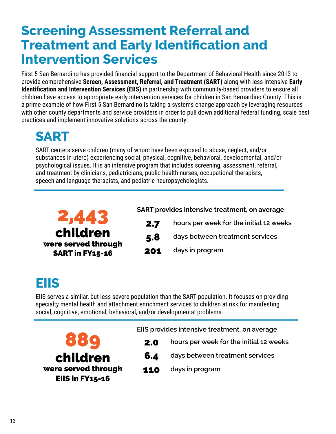## **Screening Assessment Referral and Treatment and Early Identification and Intervention Services**

First 5 San Bernardino has provided financial support to the Department of Behavioral Health since 2013 to provide comprehensive **Screen, Assessment, Referral, and Treatment (SART)** along with less intensive **Early Identification and Intervention Services (EIIS)** in partnership with community-based providers to ensure all children have access to appropriate early intervention services for children in San Bernardino County. This is a prime example of how First 5 San Bernardino is taking a systems change approach by leveraging resources with other county departments and service providers in order to pull down additional federal funding, scale best practices and implement innovative solutions across the county.

## **SART**

SART centers serve children (many of whom have been exposed to abuse, neglect, and/or substances in utero) experiencing social, physical, cognitive, behavioral, developmental, and/or psychological issues. It is an intensive program that includes screening, assessment, referral, and treatment by clinicians, pediatricians, public health nurses, occupational therapists, speech and language therapists, and pediatric neuropsychologists.



#### **SART provides intensive treatment, on average**

- 2.7 **hours per week for the initial 12 weeks**
- 5.8 **days between treatment services**
- 201 **days in program**

## **EIIS**

EIIS serves a similar, but less severe population than the SART population. It focuses on providing specialty mental health and attachment enrichment services to children at risk for manifesting social, cognitive, emotional, behavioral, and/or developmental problems.

889 children were served through **EIIS in FY15-16** 

**EIIS provides intensive treatment, on average**

- 2.0 **hours per week for the initial 12 weeks**
- 6.4 **days between treatment services**
- 110 **days in program**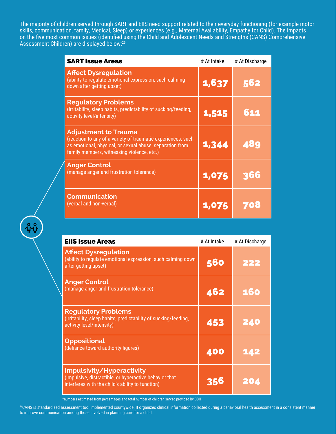The majority of children served through SART and EIIS need support related to their everyday functioning (for example motor skills, communication, family, Medical, Sleep) or experiences (e.g., Maternal Availability, Empathy for Child). The impacts on the five most common issues (identified using the Child and Adolescent Needs and Strengths (CANS) Comprehensive Assessment Children) are displayed below:<sup>25</sup>

| <b>SART Issue Areas</b>                                                                                                                                                                               | # At Intake | # At Discharge |
|-------------------------------------------------------------------------------------------------------------------------------------------------------------------------------------------------------|-------------|----------------|
| <b>Affect Dysregulation</b><br>(ability to regulate emotional expression, such calming<br>down after getting upset)                                                                                   | 1,637       | 562            |
| <b>Regulatory Problems</b><br>(irritability, sleep habits, predictability of sucking/feeding,<br>activity level/intensity)                                                                            | 1,515       | 611            |
| <b>Adjustment to Trauma</b><br>(reaction to any of a variety of traumatic experiences, such<br>as emotional, physical, or sexual abuse, separation from<br>family members, witnessing violence, etc.) | 1,344       | 489            |
| <b>Anger Control</b><br>(manage anger and frustration tolerance)                                                                                                                                      | 1,075       | 366            |
| <b>Communication</b><br>(verbal and non-verbal)                                                                                                                                                       | 1,075       | 708            |

| <b>EllS Issue Areas</b>                                                                                                                 | # At Intake | # At Discharge |
|-----------------------------------------------------------------------------------------------------------------------------------------|-------------|----------------|
| <b>Affect Dysregulation</b><br>(ability to regulate emotional expression, such calming down<br>after getting upset)                     | 560         | 222            |
| <b>Anger Control</b><br>(manage anger and frustration tolerance)                                                                        | 462         | 160            |
| <b>Regulatory Problems</b><br>(irritability, sleep habits, predictability of sucking/feeding,<br>activity level/intensity)              | 453         | 240            |
| <b>Oppositional</b><br>(defiance toward authority figures)                                                                              | 400         | 142            |
| Impulsivity/Hyperactivity<br>(impulsive, distractible, or hyperactive behavior that<br>interferes with the child's ability to function) | 356         | 204            |

\*numbers estimated from percentages and total number of children served provided by DBH

<sup>26</sup>CANS is standardized assessment tool implemented countywide. It organizes clinical information collected during a behavioral health assessment in a consistent manner to improve communication among those involved in planning care for a child.